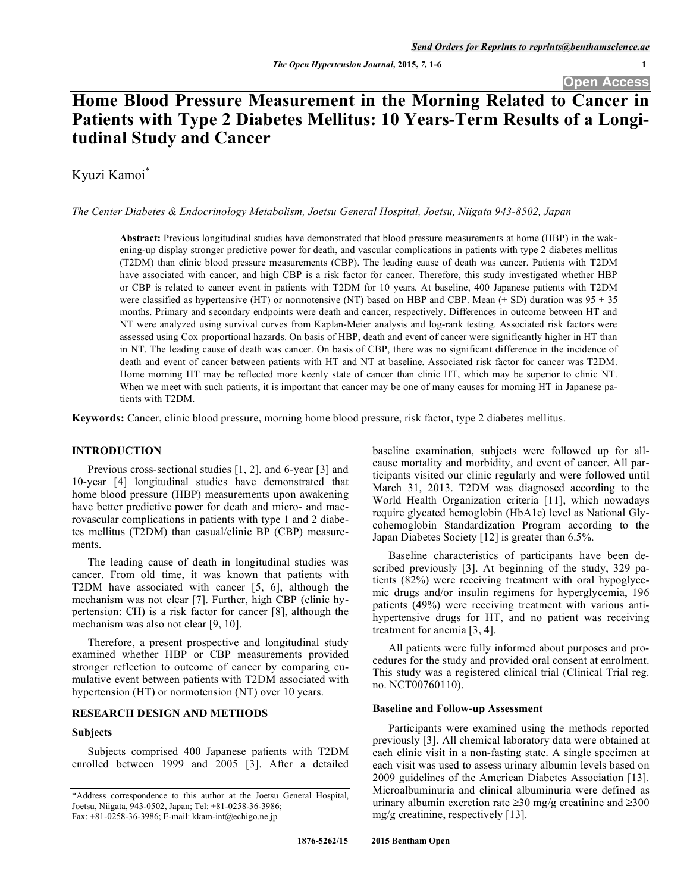# **Home Blood Pressure Measurement in the Morning Related to Cancer in Patients with Type 2 Diabetes Mellitus: 10 Years-Term Results of a Longitudinal Study and Cancer**

Kyuzi Kamoi\*

*The Center Diabetes & Endocrinology Metabolism, Joetsu General Hospital, Joetsu, Niigata 943-8502, Japan* 

**Abstract:** Previous longitudinal studies have demonstrated that blood pressure measurements at home (HBP) in the wakening-up display stronger predictive power for death, and vascular complications in patients with type 2 diabetes mellitus (T2DM) than clinic blood pressure measurements (CBP). The leading cause of death was cancer. Patients with T2DM have associated with cancer, and high CBP is a risk factor for cancer. Therefore, this study investigated whether HBP or CBP is related to cancer event in patients with T2DM for 10 years. At baseline, 400 Japanese patients with T2DM were classified as hypertensive (HT) or normotensive (NT) based on HBP and CBP. Mean ( $\pm$  SD) duration was 95  $\pm$  35 months. Primary and secondary endpoints were death and cancer, respectively. Differences in outcome between HT and NT were analyzed using survival curves from Kaplan-Meier analysis and log-rank testing. Associated risk factors were assessed using Cox proportional hazards. On basis of HBP, death and event of cancer were significantly higher in HT than in NT. The leading cause of death was cancer. On basis of CBP, there was no significant difference in the incidence of death and event of cancer between patients with HT and NT at baseline. Associated risk factor for cancer was T2DM. Home morning HT may be reflected more keenly state of cancer than clinic HT, which may be superior to clinic NT. When we meet with such patients, it is important that cancer may be one of many causes for morning HT in Japanese patients with T2DM.

**Keywords:** Cancer, clinic blood pressure, morning home blood pressure, risk factor, type 2 diabetes mellitus.

# **INTRODUCTION**

Previous cross-sectional studies [1, 2], and 6-year [3] and 10-year [4] longitudinal studies have demonstrated that home blood pressure (HBP) measurements upon awakening have better predictive power for death and micro- and macrovascular complications in patients with type 1 and 2 diabetes mellitus (T2DM) than casual/clinic BP (CBP) measurements.

The leading cause of death in longitudinal studies was cancer. From old time, it was known that patients with T2DM have associated with cancer [5, 6], although the mechanism was not clear [7]. Further, high CBP (clinic hypertension: CH) is a risk factor for cancer [8], although the mechanism was also not clear [9, 10].

Therefore, a present prospective and longitudinal study examined whether HBP or CBP measurements provided stronger reflection to outcome of cancer by comparing cumulative event between patients with T2DM associated with hypertension (HT) or normotension (NT) over 10 years.

# **RESEARCH DESIGN AND METHODS**

# **Subjects**

Subjects comprised 400 Japanese patients with T2DM enrolled between 1999 and 2005 [3]. After a detailed baseline examination, subjects were followed up for allcause mortality and morbidity, and event of cancer. All participants visited our clinic regularly and were followed until March 31, 2013. T2DM was diagnosed according to the World Health Organization criteria [11], which nowadays require glycated hemoglobin (HbA1c) level as National Glycohemoglobin Standardization Program according to the Japan Diabetes Society [12] is greater than 6.5%.

Baseline characteristics of participants have been described previously [3]. At beginning of the study, 329 patients (82%) were receiving treatment with oral hypoglycemic drugs and/or insulin regimens for hyperglycemia, 196 patients (49%) were receiving treatment with various antihypertensive drugs for HT, and no patient was receiving treatment for anemia [3, 4].

All patients were fully informed about purposes and procedures for the study and provided oral consent at enrolment. This study was a registered clinical trial (Clinical Trial reg. no. NCT00760110).

# **Baseline and Follow-up Assessment**

Participants were examined using the methods reported previously [3]. All chemical laboratory data were obtained at each clinic visit in a non-fasting state. A single specimen at each visit was used to assess urinary albumin levels based on 2009 guidelines of the American Diabetes Association [13]. Microalbuminuria and clinical albuminuria were defined as urinary albumin excretion rate  $\geq$ 30 mg/g creatinine and  $\geq$ 300 mg/g creatinine, respectively [13].

<sup>\*</sup>Address correspondence to this author at the Joetsu General Hospital, Joetsu, Niigata, 943-0502, Japan; Tel: +81-0258-36-3986; Fax: +81-0258-36-3986; E-mail: kkam-int@echigo.ne.jp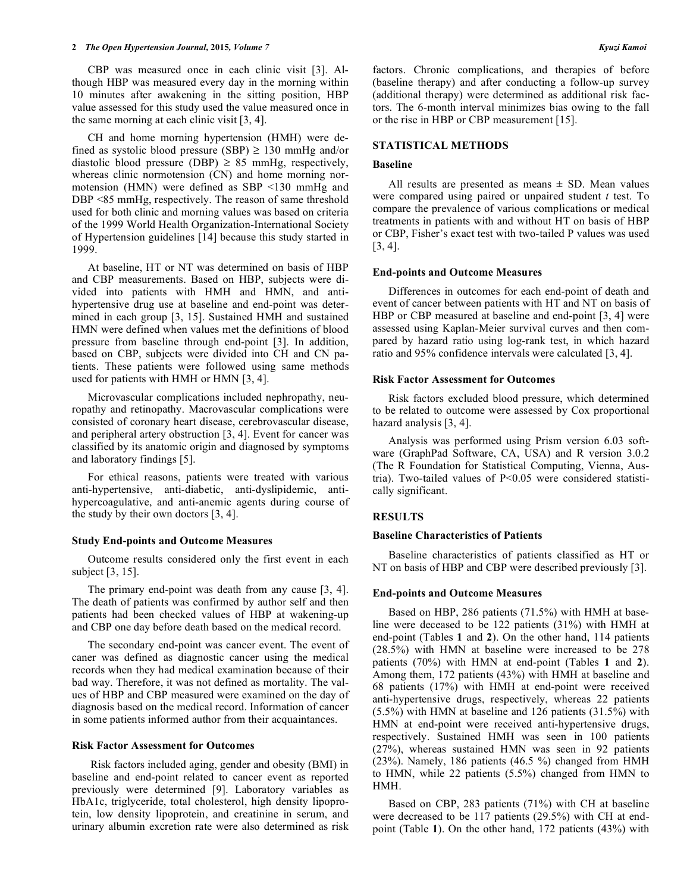## **2** *The Open Hypertension Journal,* **2015***, Volume 7 Kyuzi Kamoi*

CBP was measured once in each clinic visit [3]. Although HBP was measured every day in the morning within 10 minutes after awakening in the sitting position, HBP value assessed for this study used the value measured once in the same morning at each clinic visit [3, 4].

CH and home morning hypertension (HMH) were defined as systolic blood pressure (SBP)  $\geq$  130 mmHg and/or diastolic blood pressure (DBP)  $\geq$  85 mmHg, respectively, whereas clinic normotension (CN) and home morning normotension (HMN) were defined as SBP <130 mmHg and DBP <85 mmHg, respectively. The reason of same threshold used for both clinic and morning values was based on criteria of the 1999 World Health Organization-International Society of Hypertension guidelines [14] because this study started in 1999.

At baseline, HT or NT was determined on basis of HBP and CBP measurements. Based on HBP, subjects were divided into patients with HMH and HMN, and antihypertensive drug use at baseline and end-point was determined in each group [3, 15]. Sustained HMH and sustained HMN were defined when values met the definitions of blood pressure from baseline through end-point [3]. In addition, based on CBP, subjects were divided into CH and CN patients. These patients were followed using same methods used for patients with HMH or HMN [3, 4].

Microvascular complications included nephropathy, neuropathy and retinopathy. Macrovascular complications were consisted of coronary heart disease, cerebrovascular disease, and peripheral artery obstruction [3, 4]. Event for cancer was classified by its anatomic origin and diagnosed by symptoms and laboratory findings [5].

For ethical reasons, patients were treated with various anti-hypertensive, anti-diabetic, anti-dyslipidemic, antihypercoagulative, and anti-anemic agents during course of the study by their own doctors [3, 4].

## **Study End-points and Outcome Measures**

Outcome results considered only the first event in each subject [3, 15].

The primary end-point was death from any cause [3, 4]. The death of patients was confirmed by author self and then patients had been checked values of HBP at wakening-up and CBP one day before death based on the medical record.

The secondary end-point was cancer event. The event of caner was defined as diagnostic cancer using the medical records when they had medical examination because of their bad way. Therefore, it was not defined as mortality. The values of HBP and CBP measured were examined on the day of diagnosis based on the medical record. Information of cancer in some patients informed author from their acquaintances.

#### **Risk Factor Assessment for Outcomes**

 Risk factors included aging, gender and obesity (BMI) in baseline and end-point related to cancer event as reported previously were determined [9]. Laboratory variables as HbA1c, triglyceride, total cholesterol, high density lipoprotein, low density lipoprotein, and creatinine in serum, and urinary albumin excretion rate were also determined as risk factors. Chronic complications, and therapies of before (baseline therapy) and after conducting a follow-up survey (additional therapy) were determined as additional risk factors. The 6-month interval minimizes bias owing to the fall or the rise in HBP or CBP measurement [15].

## **STATISTICAL METHODS**

## **Baseline**

All results are presented as means  $\pm$  SD. Mean values were compared using paired or unpaired student *t* test. To compare the prevalence of various complications or medical treatments in patients with and without HT on basis of HBP or CBP, Fisher's exact test with two-tailed P values was used [3, 4].

## **End-points and Outcome Measures**

Differences in outcomes for each end-point of death and event of cancer between patients with HT and NT on basis of HBP or CBP measured at baseline and end-point [3, 4] were assessed using Kaplan-Meier survival curves and then compared by hazard ratio using log-rank test, in which hazard ratio and 95% confidence intervals were calculated [3, 4].

### **Risk Factor Assessment for Outcomes**

Risk factors excluded blood pressure, which determined to be related to outcome were assessed by Cox proportional hazard analysis [3, 4].

Analysis was performed using Prism version 6.03 software (GraphPad Software, CA, USA) and R version 3.0.2 (The R Foundation for Statistical Computing, Vienna, Austria). Two-tailed values of P<0.05 were considered statistically significant.

## **RESULTS**

## **Baseline Characteristics of Patients**

Baseline characteristics of patients classified as HT or NT on basis of HBP and CBP were described previously [3].

## **End-points and Outcome Measures**

Based on HBP, 286 patients (71.5%) with HMH at baseline were deceased to be 122 patients (31%) with HMH at end-point (Tables **1** and **2**). On the other hand, 114 patients (28.5%) with HMN at baseline were increased to be 278 patients (70%) with HMN at end-point (Tables **1** and **2**). Among them, 172 patients (43%) with HMH at baseline and 68 patients (17%) with HMH at end-point were received anti-hypertensive drugs, respectively, whereas 22 patients (5.5%) with HMN at baseline and 126 patients (31.5%) with HMN at end-point were received anti-hypertensive drugs, respectively. Sustained HMH was seen in 100 patients (27%), whereas sustained HMN was seen in 92 patients (23%). Namely, 186 patients (46.5 %) changed from HMH to HMN, while 22 patients (5.5%) changed from HMN to HMH.

Based on CBP, 283 patients (71%) with CH at baseline were decreased to be 117 patients (29.5%) with CH at endpoint (Table **1**). On the other hand, 172 patients (43%) with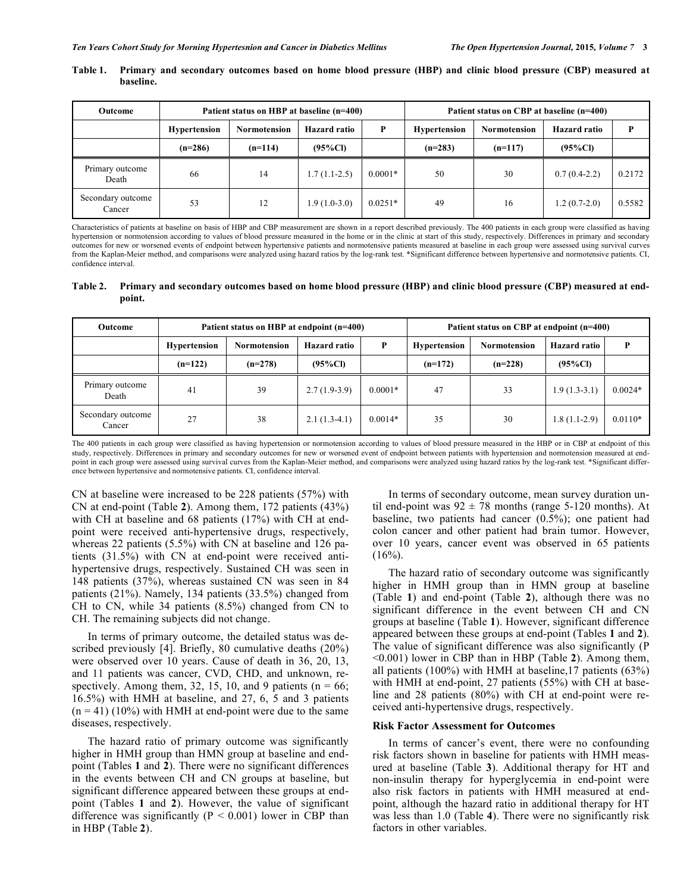| Outcome                     | Patient status on HBP at baseline (n=400) |                     |                     |           | Patient status on CBP at baseline (n=400) |                     |                     |        |
|-----------------------------|-------------------------------------------|---------------------|---------------------|-----------|-------------------------------------------|---------------------|---------------------|--------|
|                             | <b>Hypertension</b>                       | <b>Normotension</b> | <b>Hazard ratio</b> | Þ         | <b>Hypertension</b>                       | <b>Normotension</b> | <b>Hazard ratio</b> | D      |
|                             | $(n=286)$                                 | $(n=114)$           | $(95\%CI)$          |           | $(n=283)$                                 | $(n=117)$           | $(95\%CI)$          |        |
| Primary outcome<br>Death    | 66                                        | 14                  | $1.7(1.1-2.5)$      | $0.0001*$ | 50                                        | 30                  | $0.7(0.4-2.2)$      | 0.2172 |
| Secondary outcome<br>Cancer | 53                                        | 12                  | $1.9(1.0-3.0)$      | $0.0251*$ | 49                                        | 16                  | $1.2(0.7-2.0)$      | 0.5582 |

# **Table 1. Primary and secondary outcomes based on home blood pressure (HBP) and clinic blood pressure (CBP) measured at baseline.**

Characteristics of patients at baseline on basis of HBP and CBP measurement are shown in a report described previously. The 400 patients in each group were classified as having hypertension or normotension according to values of blood pressure measured in the home or in the clinic at start of this study, respectively. Differences in primary and secondary outcomes for new or worsened events of endpoint between hypertensive patients and normotensive patients measured at baseline in each group were assessed using survival curves from the Kaplan-Meier method, and comparisons were analyzed using hazard ratios by the log-rank test. \*Significant difference between hypertensive and normotensive patients. CI, confidence interval.

**Table 2. Primary and secondary outcomes based on home blood pressure (HBP) and clinic blood pressure (CBP) measured at endpoint.** 

| Outcome                     | Patient status on HBP at endpoint (n=400) |              |                     |           | Patient status on CBP at endpoint (n=400) |              |                     |           |
|-----------------------------|-------------------------------------------|--------------|---------------------|-----------|-------------------------------------------|--------------|---------------------|-----------|
|                             | <b>Hypertension</b>                       | Normotension | <b>Hazard ratio</b> | P         | <b>Hypertension</b>                       | Normotension | <b>Hazard ratio</b> | D         |
|                             | $(n=122)$                                 | $(n=278)$    | $(95\%Cl)$          |           | $(n=172)$                                 | $(n=228)$    | $(95\%$ CI)         |           |
| Primary outcome<br>Death    | 41                                        | 39           | $2.7(1.9-3.9)$      | $0.0001*$ | 47                                        | 33           | $1.9(1.3-3.1)$      | $0.0024*$ |
| Secondary outcome<br>Cancer | 27                                        | 38           | $2.1(1.3-4.1)$      | $0.0014*$ | 35                                        | 30           | $1.8(1.1-2.9)$      | $0.0110*$ |

The 400 patients in each group were classified as having hypertension or normotension according to values of blood pressure measured in the HBP or in CBP at endpoint of this study, respectively. Differences in primary and secondary outcomes for new or worsened event of endpoint between patients with hypertension and normotension measured at endpoint in each group were assessed using survival curves from the Kaplan-Meier method, and comparisons were analyzed using hazard ratios by the log-rank test. \*Significant difference between hypertensive and normotensive patients. CI, confidence interval.

CN at baseline were increased to be 228 patients (57%) with CN at end-point (Table **2**). Among them, 172 patients (43%) with CH at baseline and 68 patients (17%) with CH at endpoint were received anti-hypertensive drugs, respectively, whereas 22 patients (5.5%) with CN at baseline and 126 patients (31.5%) with CN at end-point were received antihypertensive drugs, respectively. Sustained CH was seen in 148 patients (37%), whereas sustained CN was seen in 84 patients (21%). Namely, 134 patients (33.5%) changed from CH to CN, while 34 patients (8.5%) changed from CN to CH. The remaining subjects did not change.

In terms of primary outcome, the detailed status was described previously [4]. Briefly, 80 cumulative deaths (20%) were observed over 10 years. Cause of death in 36, 20, 13, and 11 patients was cancer, CVD, CHD, and unknown, respectively. Among them, 32, 15, 10, and 9 patients ( $n = 66$ ; 16.5%) with HMH at baseline, and 27, 6, 5 and 3 patients  $(n = 41)$  (10%) with HMH at end-point were due to the same diseases, respectively.

The hazard ratio of primary outcome was significantly higher in HMH group than HMN group at baseline and endpoint (Tables **1** and **2**). There were no significant differences in the events between CH and CN groups at baseline, but significant difference appeared between these groups at endpoint (Tables **1** and **2**). However, the value of significant difference was significantly  $(P < 0.001)$  lower in CBP than in HBP (Table **2**).

In terms of secondary outcome, mean survey duration until end-point was  $92 \pm 78$  months (range 5-120 months). At baseline, two patients had cancer (0.5%); one patient had colon cancer and other patient had brain tumor. However, over 10 years, cancer event was observed in 65 patients  $(16\%)$ .

The hazard ratio of secondary outcome was significantly higher in HMH group than in HMN group at baseline (Table **1**) and end-point (Table **2**), although there was no significant difference in the event between CH and CN groups at baseline (Table **1**). However, significant difference appeared between these groups at end-point (Tables **1** and **2**). The value of significant difference was also significantly (P <0.001) lower in CBP than in HBP (Table **2**). Among them, all patients (100%) with HMH at baseline,17 patients (63%) with HMH at end-point, 27 patients (55%) with CH at baseline and 28 patients (80%) with CH at end-point were received anti-hypertensive drugs, respectively.

# **Risk Factor Assessment for Outcomes**

In terms of cancer's event, there were no confounding risk factors shown in baseline for patients with HMH measured at baseline (Table **3**). Additional therapy for HT and non-insulin therapy for hyperglycemia in end-point were also risk factors in patients with HMH measured at endpoint, although the hazard ratio in additional therapy for HT was less than 1.0 (Table **4**). There were no significantly risk factors in other variables.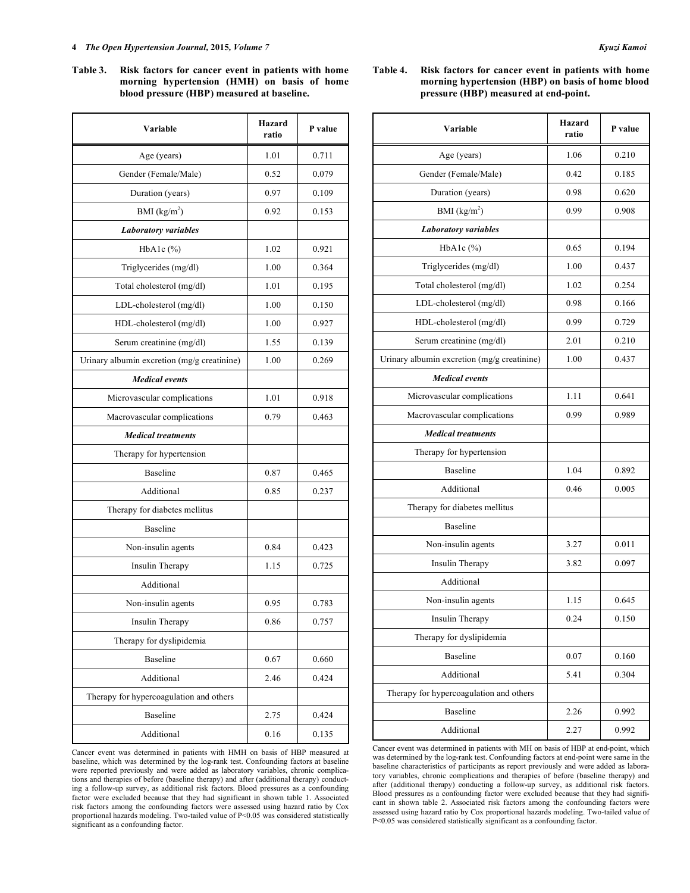#### **4** *The Open Hypertension Journal,* **2015***, Volume 7 Kyuzi Kamoi*

**Table 3. Risk factors for cancer event in patients with home morning hypertension (HMH) on basis of home blood pressure (HBP) measured at baseline.** 

| Variable                                    | Hazard<br>ratio | P value |  |
|---------------------------------------------|-----------------|---------|--|
| Age (years)                                 | 1.01            | 0.711   |  |
| Gender (Female/Male)                        | 0.52            | 0.079   |  |
| Duration (years)                            | 0.97            | 0.109   |  |
| BMI $(kg/m2)$                               | 0.92            | 0.153   |  |
| <b>Laboratory variables</b>                 |                 |         |  |
| HbA1c $(\%)$                                | 1.02            | 0.921   |  |
| Triglycerides (mg/dl)                       | 1.00            | 0.364   |  |
| Total cholesterol (mg/dl)                   | 1.01            | 0.195   |  |
| LDL-cholesterol (mg/dl)                     | 1.00            | 0.150   |  |
| HDL-cholesterol (mg/dl)                     | 1.00            | 0.927   |  |
| Serum creatinine (mg/dl)                    | 1.55            | 0.139   |  |
| Urinary albumin excretion (mg/g creatinine) | 1.00            | 0.269   |  |
| <b>Medical events</b>                       |                 |         |  |
| Microvascular complications                 | 1.01            | 0.918   |  |
| Macrovascular complications                 | 0.79            | 0.463   |  |
| <b>Medical treatments</b>                   |                 |         |  |
| Therapy for hypertension                    |                 |         |  |
| <b>Baseline</b>                             | 0.87            | 0.465   |  |
| Additional                                  | 0.85            | 0.237   |  |
| Therapy for diabetes mellitus               |                 |         |  |
| <b>Baseline</b>                             |                 |         |  |
| Non-insulin agents                          | 0.84            | 0.423   |  |
| Insulin Therapy                             | 1.15            | 0.725   |  |
| Additional                                  |                 |         |  |
| Non-insulin agents                          | 0.95            | 0.783   |  |
| Insulin Therapy                             | 0.86            | 0.757   |  |
| Therapy for dyslipidemia                    |                 |         |  |
| Baseline                                    | 0.67            | 0.660   |  |
| Additional                                  | 2.46            | 0.424   |  |
| Therapy for hypercoagulation and others     |                 |         |  |
| Baseline                                    | 2.75            | 0.424   |  |
| Additional                                  | 0.16            | 0.135   |  |

Cancer event was determined in patients with HMH on basis of HBP measured at baseline, which was determined by the log-rank test. Confounding factors at baseline were reported previously and were added as laboratory variables, chronic complications and therapies of before (baseline therapy) and after (additional therapy) conducting a follow-up survey, as additional risk factors. Blood pressures as a confounding factor were excluded because that they had significant in shown table 1. Associated risk factors among the confounding factors were assessed using hazard ratio by Cox proportional hazards modeling. Two-tailed value of P<0.05 was considered statistically significant as a confounding factor.

# **Table 4. Risk factors for cancer event in patients with home morning hypertension (HBP) on basis of home blood pressure (HBP) measured at end-point.**

| Variable                                    | Hazard<br>ratio | P value |
|---------------------------------------------|-----------------|---------|
| Age (years)                                 | 1.06            | 0.210   |
| Gender (Female/Male)                        | 0.42            | 0.185   |
| Duration (years)                            | 0.98            | 0.620   |
| BMI $(kg/m2)$                               | 0.99            | 0.908   |
| <b>Laboratory variables</b>                 |                 |         |
| HbA1c(%)                                    | 0.65            | 0.194   |
| Triglycerides (mg/dl)                       | 1.00            | 0.437   |
| Total cholesterol (mg/dl)                   | 1.02            | 0.254   |
| LDL-cholesterol (mg/dl)                     | 0.98            | 0.166   |
| HDL-cholesterol (mg/dl)                     | 0.99            | 0.729   |
| Serum creatinine (mg/dl)                    | 2.01            | 0.210   |
| Urinary albumin excretion (mg/g creatinine) | 1.00            | 0.437   |
| <b>Medical events</b>                       |                 |         |
| Microvascular complications                 | 1.11            | 0.641   |
| Macrovascular complications                 | 0.99            | 0.989   |
| <b>Medical treatments</b>                   |                 |         |
| Therapy for hypertension                    |                 |         |
| <b>Baseline</b>                             | 1.04            | 0.892   |
| Additional                                  | 0.46            | 0.005   |
| Therapy for diabetes mellitus               |                 |         |
| <b>Baseline</b>                             |                 |         |
| Non-insulin agents                          | 3.27            | 0.011   |
| Insulin Therapy                             | 3.82            | 0.097   |
| Additional                                  |                 |         |
| Non-insulin agents                          | 1.15            | 0.645   |
| Insulin Therapy                             | 0.24            | 0.150   |
| Therapy for dyslipidemia                    |                 |         |
| Baseline                                    | 0.07            | 0.160   |
| Additional                                  | 5.41            | 0.304   |
| Therapy for hypercoagulation and others     |                 |         |
| Baseline                                    | 2.26            | 0.992   |
| Additional                                  | 2.27            | 0.992   |

Cancer event was determined in patients with MH on basis of HBP at end-point, which was determined by the log-rank test. Confounding factors at end-point were same in the baseline characteristics of participants as report previously and were added as laboratory variables, chronic complications and therapies of before (baseline therapy) and after (additional therapy) conducting a follow-up survey, as additional risk factors. Blood pressures as a confounding factor were excluded because that they had significant in shown table 2. Associated risk factors among the confounding factors were assessed using hazard ratio by Cox proportional hazards modeling. Two-tailed value of P<0.05 was considered statistically significant as a confounding factor.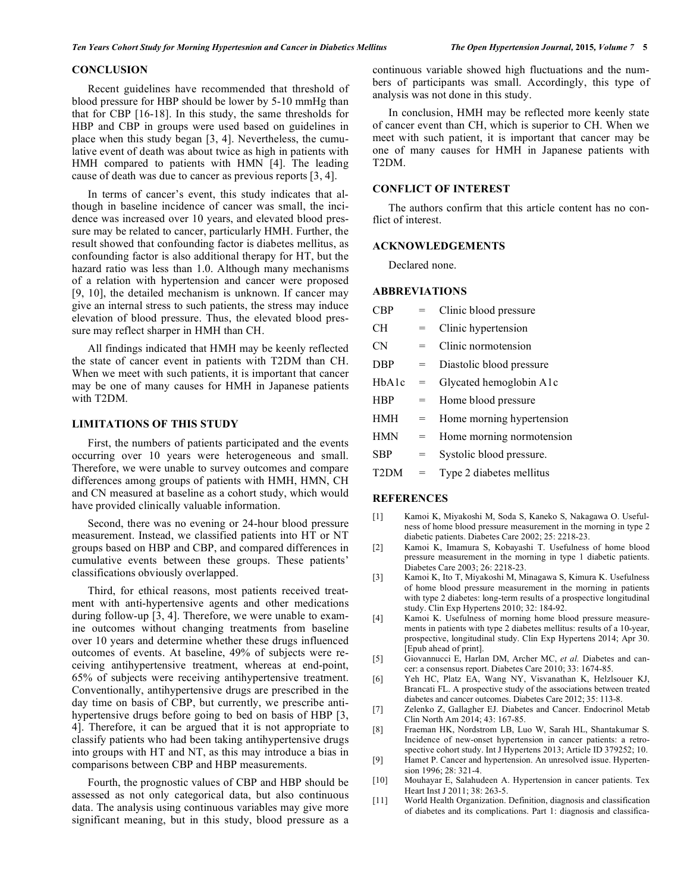# **CONCLUSION**

Recent guidelines have recommended that threshold of blood pressure for HBP should be lower by 5-10 mmHg than that for CBP [16-18]. In this study, the same thresholds for HBP and CBP in groups were used based on guidelines in place when this study began [3, 4]. Nevertheless, the cumulative event of death was about twice as high in patients with HMH compared to patients with HMN [4]. The leading cause of death was due to cancer as previous reports [3, 4].

In terms of cancer's event, this study indicates that although in baseline incidence of cancer was small, the incidence was increased over 10 years, and elevated blood pressure may be related to cancer, particularly HMH. Further, the result showed that confounding factor is diabetes mellitus, as confounding factor is also additional therapy for HT, but the hazard ratio was less than 1.0. Although many mechanisms of a relation with hypertension and cancer were proposed [9, 10], the detailed mechanism is unknown. If cancer may give an internal stress to such patients, the stress may induce elevation of blood pressure. Thus, the elevated blood pressure may reflect sharper in HMH than CH.

All findings indicated that HMH may be keenly reflected the state of cancer event in patients with T2DM than CH. When we meet with such patients, it is important that cancer may be one of many causes for HMH in Japanese patients with T2DM.

# **LIMITATIONS OF THIS STUDY**

First, the numbers of patients participated and the events occurring over 10 years were heterogeneous and small. Therefore, we were unable to survey outcomes and compare differences among groups of patients with HMH, HMN, CH and CN measured at baseline as a cohort study, which would have provided clinically valuable information.

Second, there was no evening or 24-hour blood pressure measurement. Instead, we classified patients into HT or NT groups based on HBP and CBP, and compared differences in cumulative events between these groups. These patients' classifications obviously overlapped.

Third, for ethical reasons, most patients received treatment with anti-hypertensive agents and other medications during follow-up [3, 4]. Therefore, we were unable to examine outcomes without changing treatments from baseline over 10 years and determine whether these drugs influenced outcomes of events. At baseline, 49% of subjects were receiving antihypertensive treatment, whereas at end-point, 65% of subjects were receiving antihypertensive treatment. Conventionally, antihypertensive drugs are prescribed in the day time on basis of CBP, but currently, we prescribe antihypertensive drugs before going to bed on basis of HBP [3, 4]. Therefore, it can be argued that it is not appropriate to classify patients who had been taking antihypertensive drugs into groups with HT and NT, as this may introduce a bias in comparisons between CBP and HBP measurements.

Fourth, the prognostic values of CBP and HBP should be assessed as not only categorical data, but also continuous data. The analysis using continuous variables may give more significant meaning, but in this study, blood pressure as a continuous variable showed high fluctuations and the numbers of participants was small. Accordingly, this type of analysis was not done in this study.

In conclusion, HMH may be reflected more keenly state of cancer event than CH, which is superior to CH. When we meet with such patient, it is important that cancer may be one of many causes for HMH in Japanese patients with T2DM.

# **CONFLICT OF INTEREST**

The authors confirm that this article content has no conflict of interest.

#### **ACKNOWLEDGEMENTS**

Declared none.

#### **ABBREVIATIONS**

| CBP               |     | Clinic blood pressure     |
|-------------------|-----|---------------------------|
| <b>CH</b>         |     | Clinic hypertension       |
| CN                | $=$ | Clinic normotension       |
| <b>DBP</b>        | $=$ | Diastolic blood pressure  |
| HbAlc             | =   | Glycated hemoglobin A1c   |
| <b>HBP</b>        | $=$ | Home blood pressure       |
| <b>HMH</b>        | =   | Home morning hypertension |
| <b>HMN</b>        | $=$ | Home morning normotension |
| <b>SBP</b>        | =   | Systolic blood pressure.  |
| T <sub>2</sub> DM |     | Type 2 diabetes mellitus  |

#### **REFERENCES**

- [1] Kamoi K, Miyakoshi M, Soda S, Kaneko S, Nakagawa O. Usefulness of home blood pressure measurement in the morning in type 2 diabetic patients. Diabetes Care 2002; 25: 2218-23.
- [2] Kamoi K, Imamura S, Kobayashi T. Usefulness of home blood pressure measurement in the morning in type 1 diabetic patients. Diabetes Care 2003; 26: 2218-23.
- [3] Kamoi K, Ito T, Miyakoshi M, Minagawa S, Kimura K. Usefulness of home blood pressure measurement in the morning in patients with type 2 diabetes: long-term results of a prospective longitudinal study. Clin Exp Hypertens 2010; 32: 184-92.
- [4] Kamoi K. Usefulness of morning home blood pressure measurements in patients with type 2 diabetes mellitus: results of a 10-year, prospective, longitudinal study. Clin Exp Hypertens 2014; Apr 30. [Epub ahead of print].
- [5] Giovannucci E, Harlan DM, Archer MC, *et al.* Diabetes and cancer: a consensus report. Diabetes Care 2010; 33: 1674-85.
- [6] Yeh HC, Platz EA, Wang NY, Visvanathan K, Helzlsouer KJ, Brancati FL. A prospective study of the associations between treated diabetes and cancer outcomes. Diabetes Care 2012; 35: 113-8.
- [7] Zelenko Z, Gallagher EJ. Diabetes and Cancer. Endocrinol Metab Clin North Am 2014; 43: 167-85.
- [8] Fraeman HK, Nordstrom LB, Luo W, Sarah HL, Shantakumar S. Incidence of new-onset hypertension in cancer patients: a retrospective cohort study. Int J Hypertens 2013; Article ID 379252; 10.
- [9] Hamet P. Cancer and hypertension. An unresolved issue. Hypertension 1996; 28: 321-4.
- [10] Mouhayar E, Salahudeen A. Hypertension in cancer patients. Tex Heart Inst J 2011; 38: 263-5.
- [11] World Health Organization. Definition, diagnosis and classification of diabetes and its complications. Part 1: diagnosis and classifica-